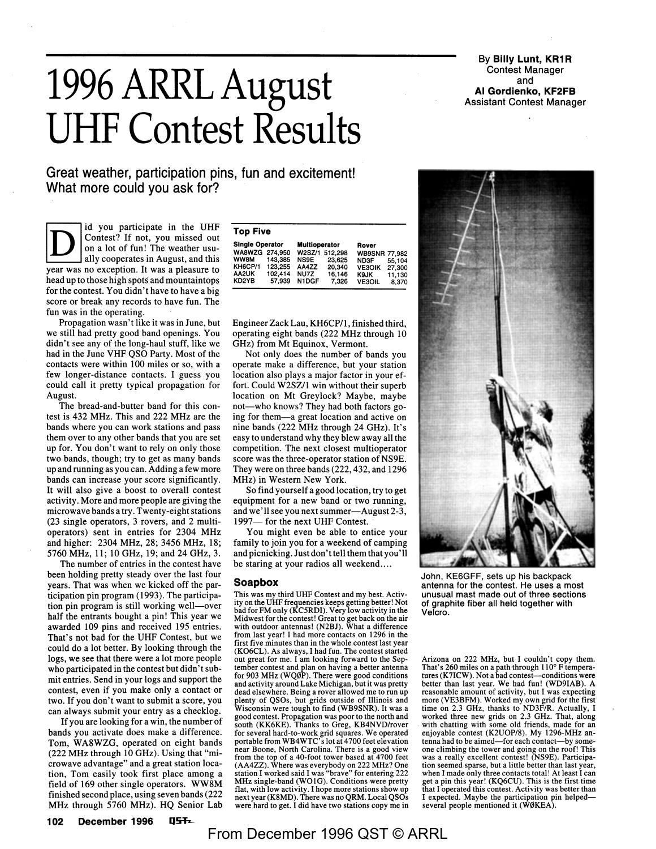## **1996 ARRL August UHF Contest Results**

**Great weather, participation pins, fun and excitement! What more could you ask for?** 

id you participate in the UHF Contest? If not, you missed out on a lot of fun! The weather usually cooperates in August, and this year was no exception. It. was a pleasure to head up to those high spots and mountaintops for the contest. You didn't have to have a big score or break any records to have fun. The fun was in the operating.

Propagation wasn't like it was in June, but we still had pretty good band openings. You didn't see any of the long-haul stuff, like we had in the June VHF QSO Party. Most of the contacts were within 100 miles or so, with a few longer-distance contacts. I guess you could call it pretty typical propagation for August.

The bread-and-butter band for this contest is 432 MHz. This and 222 MHz are the bands where you can work stations and pass them over to any other bands that you are set up for. You don't want to rely on only those two bands, though; try to get as many bands up and running as you can. Adding a few more bands can increase your score significantly. It will also give a boost to overall contest activity. More and more people are giving the microwave bands a try. Twenty-eight stations (23 single operators, 3 rovers, and 2 multioperators) sent in entries for 2304 MHz and higher: 2304 MHz, 28; 3456 MHz, 18; 5760 MHz, 11; 10 GHz, 19; and 24 GHz, 3.

The number of entries in the contest have been holding pretty steady over the last four years. That was when we kicked off the participation pin program (1993). The participation pin program is still working well-over half the entrants bought a pin! This year we awarded 109 pins and received 195 entries. That's not bad for the UHF Contest, but we could do a lot better. By looking through the logs, we see that there were a lot more people who participated in the contest but didn't submit entries. Send in your logs and support the contest, even if you make only a contact· or two. If you don't want to submit a score, you can always submit your entry as a checklog.

If you are looking for a win, the number of bands you activate does make a difference. Tom, WA8WZG, operated on eight bands (222 MHz through 10 GHz). Using that "microwave advantage" and a great station location, Tom easily took first place among a field of 169 other single operators. **WW8M**  finished second place, using seven bands (222 MHz through 5760 MHz). HQ Senior Lab

| <b>Top Five</b>        |         |                      |                |                      |        |  |  |  |  |  |  |  |  |  |
|------------------------|---------|----------------------|----------------|----------------------|--------|--|--|--|--|--|--|--|--|--|
| <b>Single Operator</b> |         | <b>Multioperator</b> |                | Rover                |        |  |  |  |  |  |  |  |  |  |
| WA8WZG 274.950         |         |                      | W2SZ/1 512.298 | <b>WB9SNR 77,982</b> |        |  |  |  |  |  |  |  |  |  |
| <b>WW8M</b>            | 143,385 | <b>NS9E</b>          | 23.625         | ND3F                 | 55.104 |  |  |  |  |  |  |  |  |  |
| KH6CP/1                | 123.255 | AA4ZZ                | 20.340         | <b>VE3OIK</b>        | 27,300 |  |  |  |  |  |  |  |  |  |
| AA2UK                  | 102.414 | NU7Z                 | 16.146         | K9JK                 | 11,130 |  |  |  |  |  |  |  |  |  |
| KD2YB                  | 57.939  | <b>NIDGF</b>         | 7.326          | <b>VE3OIL</b>        | 8.370  |  |  |  |  |  |  |  |  |  |
|                        |         |                      |                |                      |        |  |  |  |  |  |  |  |  |  |

Engineer Zack Lau, KH6CP/l, finished third, operating eight bands (222 MHz through 10 GHz) from Mt Equinox, Vermont.

Not only does the number of bands you operate make a difference, but your station location also plays a major factor in your effort. Could W2SZ/1 win without their superb location on Mt Greylock? Maybe, maybe not-who knows? They had both factors going for them-a great location and active on nine bands (222 MHz through 24 GHz). It's easy to understand why they blew away all the competition. The next closest multioperator score was the three-operator station of NS9E. They were on three bands (222,432, and 1296 MHz) in Western New York.

So find yourself a good location, try to get equipment for a new band or two running, and we'll see you next summer-August 2-3, 1997- for the next UHF Contest.

You might even be able to entice your family to join you for a weekend of camping and picnicking. Just don't tell them that you '11 be staring at your radios all weekend....

## **Soapbox**

This was my third UHF Contest and my best. Activity on the UHF frequencies keeps getting better! Not bad for FM only (KCSRDI). Very low activity in the Midwest for the contest! Great to get back on the air with outdoor antennas! (N2BJ). What a difference from last year! I had more contacts on 1296 in the first five minutes than in the whole contest last year (K06CL). As always, I had fun. The contest started out great for me. I am looking forward to the September contest and plan on having a better antenna for 903 MHz (WQ0P). There were good conditions and activity around Lake Michigan, but it was pretty dead elsewhere. Being a rover allowed me to run up plenty of QSOs, but grids outside of Illinois and Wisconsin were tough to find (WB9SNR). It was a good contest. Propagation was poor to the north and<br>south (KK6KE). Thanks to Greg, KB4NVD/rover for several hard-to-work grid squares. We operated portable from WB4WTC' slot at 4 700 feet elevation near Boone, North Carolina. There is a good view from the top of a 40-foot tower based at 4700 feet (AA4ZZ). Where was everybody on 222 MHz? One station I worked said I was "brave" for entering 222 MHz single-band (WO1G). Conditions were pretty flat, with low activity. I hope more stations show up next year (KBMD). There was no QRM. Local QSOs were hard to get. I did have two stations copy me in

**By Billy Lunt, KR1R** Contest Manager and **Al Gordienko, KF2FB**  Assistant Contest Manager



John, KE6GFF, sets up his backpack antenna for the contest. He uses a most unusual mast made out of three sections of graphite fiber all held together with Velcro.

Arizona on 222 MHz, but I couldn't copy them. That's 260 miles on a path through 110° F temperatures (K7ICW). Not a bad contest—conditions were better than last year. We had fun! (WD9IAB). A reasonable amount of activity, but I was expecting more (VE3BFM). Worked my own grid for the first time on 2.3 GHz, thanks to ND3F/R. Actually, I worked three new grids on 2.3 GHz. That, along with chatting with some old friends, made for an enjoyable contest (K2UOP/8). My 1296-MHz antenna had to be aimed-for each contact-by someone climbing the tower and going on the roof! This was a really excellent contest! (NS9E). Participation seemed sparse, but a little better than last year, when I made only three contacts total! At least I can get a pin this year! (KQ6CU). This is the first time that I operated this contest. Activity was better than I expected. Maybe the participation pin helpedseveral people mentioned it (W0KEA).

**102** December 1996 **Q5T**<sub>z</sub>

From December 1996 QST © ARRL